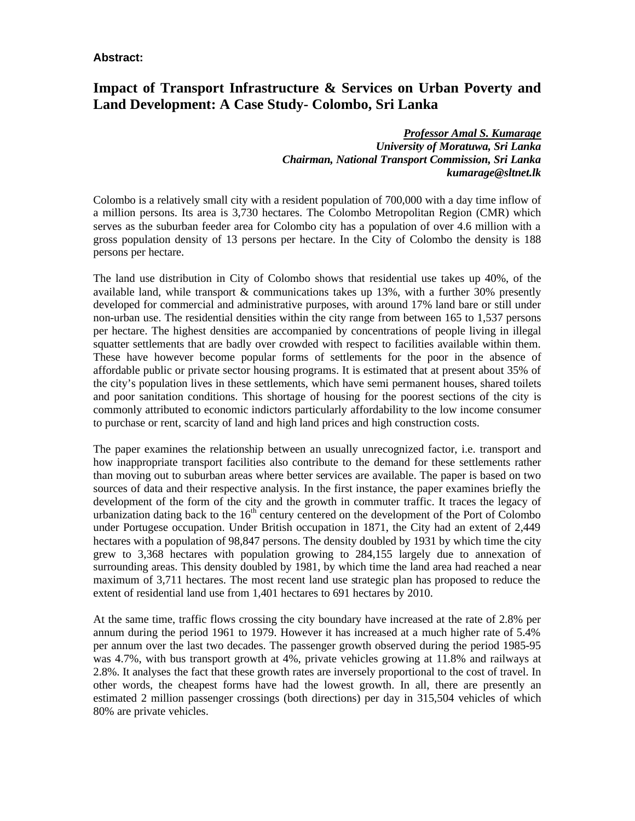#### **Abstract:**

### **Impact of Transport Infrastructure & Services on Urban Poverty and Land Development: A Case Study- Colombo, Sri Lanka**

*Professor Amal S. Kumarage University of Moratuwa, Sri Lanka Chairman, National Transport Commission, Sri Lanka kumarage@sltnet.lk*

Colombo is a relatively small city with a resident population of 700,000 with a day time inflow of a million persons. Its area is 3,730 hectares. The Colombo Metropolitan Region (CMR) which serves as the suburban feeder area for Colombo city has a population of over 4.6 million with a gross population density of 13 persons per hectare. In the City of Colombo the density is 188 persons per hectare.

The land use distribution in City of Colombo shows that residential use takes up 40%, of the available land, while transport  $&$  communications takes up 13%, with a further 30% presently developed for commercial and administrative purposes, with around 17% land bare or still under non-urban use. The residential densities within the city range from between 165 to 1,537 persons per hectare. The highest densities are accompanied by concentrations of people living in illegal squatter settlements that are badly over crowded with respect to facilities available within them. These have however become popular forms of settlements for the poor in the absence of affordable public or private sector housing programs. It is estimated that at present about 35% of the city's population lives in these settlements, which have semi permanent houses, shared toilets and poor sanitation conditions. This shortage of housing for the poorest sections of the city is commonly attributed to economic indictors particularly affordability to the low income consumer to purchase or rent, scarcity of land and high land prices and high construction costs.

The paper examines the relationship between an usually unrecognized factor, i.e. transport and how inappropriate transport facilities also contribute to the demand for these settlements rather than moving out to suburban areas where better services are available. The paper is based on two sources of data and their respective analysis. In the first instance, the paper examines briefly the development of the form of the city and the growth in commuter traffic. It traces the legacy of urbanization dating back to the  $16<sup>th</sup>$  century centered on the development of the Port of Colombo under Portugese occupation. Under British occupation in 1871, the City had an extent of 2,449 hectares with a population of 98,847 persons. The density doubled by 1931 by which time the city grew to 3,368 hectares with population growing to 284,155 largely due to annexation of surrounding areas. This density doubled by 1981, by which time the land area had reached a near maximum of 3,711 hectares. The most recent land use strategic plan has proposed to reduce the extent of residential land use from 1,401 hectares to 691 hectares by 2010.

At the same time, traffic flows crossing the city boundary have increased at the rate of 2.8% per annum during the period 1961 to 1979. However it has increased at a much higher rate of 5.4% per annum over the last two decades. The passenger growth observed during the period 1985-95 was 4.7%, with bus transport growth at 4%, private vehicles growing at 11.8% and railways at 2.8%. It analyses the fact that these growth rates are inversely proportional to the cost of travel. In other words, the cheapest forms have had the lowest growth. In all, there are presently an estimated 2 million passenger crossings (both directions) per day in 315,504 vehicles of which 80% are private vehicles.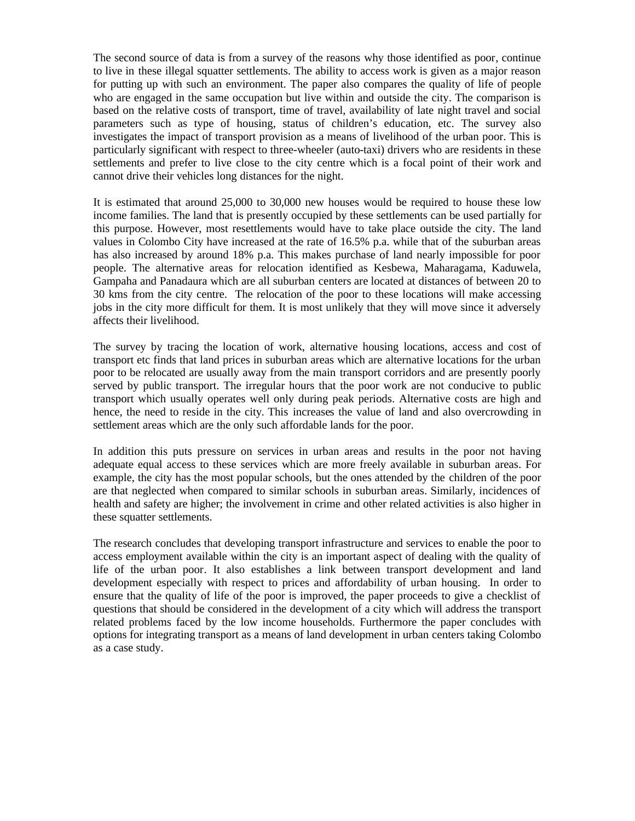The second source of data is from a survey of the reasons why those identified as poor, continue to live in these illegal squatter settlements. The ability to access work is given as a major reason for putting up with such an environment. The paper also compares the quality of life of people who are engaged in the same occupation but live within and outside the city. The comparison is based on the relative costs of transport, time of travel, availability of late night travel and social parameters such as type of housing, status of children's education, etc. The survey also investigates the impact of transport provision as a means of livelihood of the urban poor. This is particularly significant with respect to three-wheeler (auto-taxi) drivers who are residents in these settlements and prefer to live close to the city centre which is a focal point of their work and cannot drive their vehicles long distances for the night.

It is estimated that around 25,000 to 30,000 new houses would be required to house these low income families. The land that is presently occupied by these settlements can be used partially for this purpose. However, most resettlements would have to take place outside the city. The land values in Colombo City have increased at the rate of 16.5% p.a. while that of the suburban areas has also increased by around 18% p.a. This makes purchase of land nearly impossible for poor people. The alternative areas for relocation identified as Kesbewa, Maharagama, Kaduwela, Gampaha and Panadaura which are all suburban centers are located at distances of between 20 to 30 kms from the city centre. The relocation of the poor to these locations will make accessing jobs in the city more difficult for them. It is most unlikely that they will move since it adversely affects their livelihood.

The survey by tracing the location of work, alternative housing locations, access and cost of transport etc finds that land prices in suburban areas which are alternative locations for the urban poor to be relocated are usually away from the main transport corridors and are presently poorly served by public transport. The irregular hours that the poor work are not conducive to public transport which usually operates well only during peak periods. Alternative costs are high and hence, the need to reside in the city. This increases the value of land and also overcrowding in settlement areas which are the only such affordable lands for the poor.

In addition this puts pressure on services in urban areas and results in the poor not having adequate equal access to these services which are more freely available in suburban areas. For example, the city has the most popular schools, but the ones attended by the children of the poor are that neglected when compared to similar schools in suburban areas. Similarly, incidences of health and safety are higher; the involvement in crime and other related activities is also higher in these squatter settlements.

The research concludes that developing transport infrastructure and services to enable the poor to access employment available within the city is an important aspect of dealing with the quality of life of the urban poor. It also establishes a link between transport development and land development especially with respect to prices and affordability of urban housing. In order to ensure that the quality of life of the poor is improved, the paper proceeds to give a checklist of questions that should be considered in the development of a city which will address the transport related problems faced by the low income households. Furthermore the paper concludes with options for integrating transport as a means of land development in urban centers taking Colombo as a case study.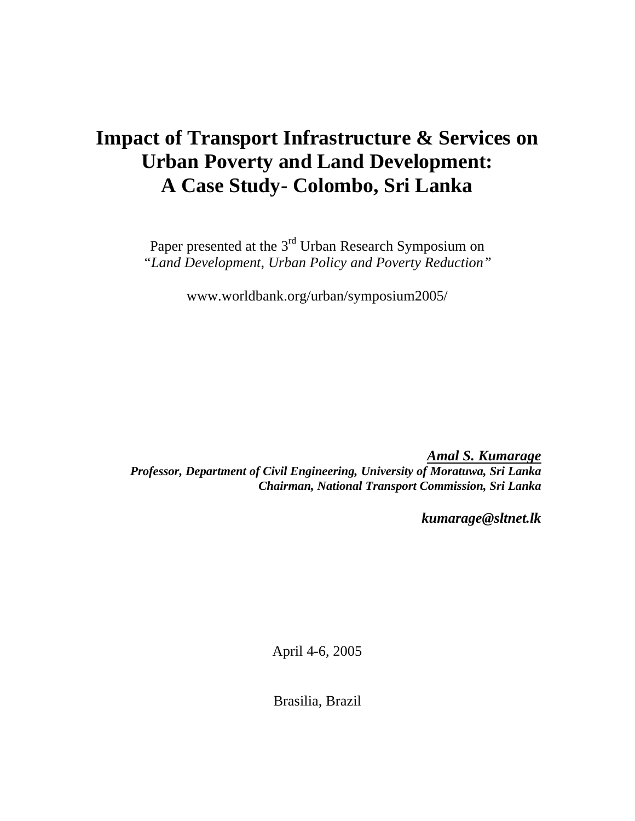# **Impact of Transport Infrastructure & Services on Urban Poverty and Land Development: A Case Study- Colombo, Sri Lanka**

Paper presented at the 3<sup>rd</sup> Urban Research Symposium on *"Land Development, Urban Policy and Poverty Reduction"*

www.worldbank.org/urban/symposium2005/

*Amal S. Kumarage Professor, Department of Civil Engineering, University of Moratuwa, Sri Lanka Chairman, National Transport Commission, Sri Lanka*

*kumarage@sltnet.lk*

April 4-6, 2005

Brasilia, Brazil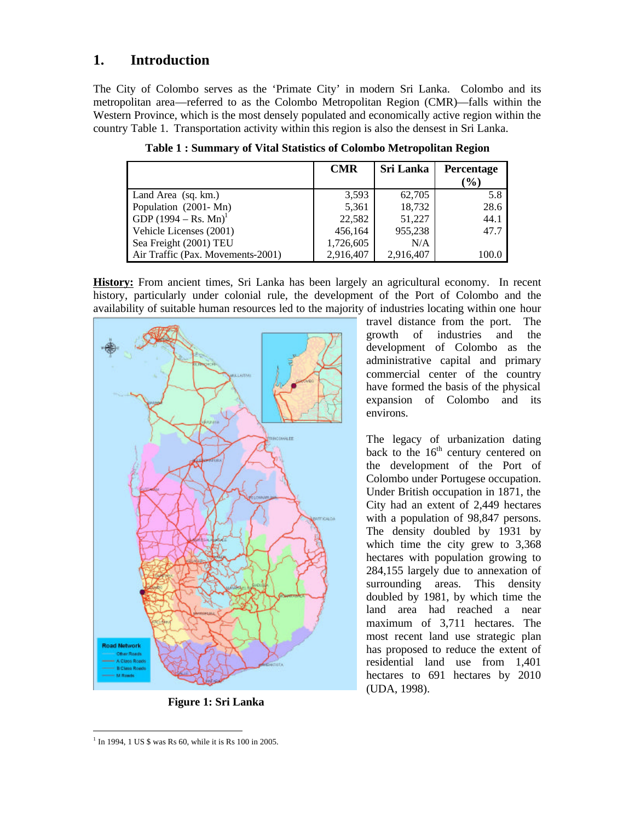### **1. Introduction**

The City of Colombo serves as the 'Primate City' in modern Sri Lanka. Colombo and its metropolitan area—referred to as the Colombo Metropolitan Region (CMR)—falls within the Western Province, which is the most densely populated and economically active region within the country Table 1. Transportation activity within this region is also the densest in Sri Lanka.

|                                   | <b>CMR</b> | <b>Sri Lanka</b> | <b>Percentage</b><br>$\left( \frac{0}{0} \right)$ |
|-----------------------------------|------------|------------------|---------------------------------------------------|
| Land Area (sq. km.)               | 3,593      | 62,705           | 5.8                                               |
| Population (2001-Mn)              | 5,361      | 18,732           | 28.6                                              |
| GDP $(1994 - Rs. Mn)^1$           | 22,582     | 51,227           | 44.1                                              |
| Vehicle Licenses (2001)           | 456,164    | 955,238          | 47.7                                              |
| Sea Freight (2001) TEU            | 1,726,605  | N/A              |                                                   |
| Air Traffic (Pax. Movements-2001) | 2,916,407  | 2,916,407        | 100.0                                             |

**Table 1 : Summary of Vital Statistics of Colombo Metropolitan Region**

**History:** From ancient times, Sri Lanka has been largely an agricultural economy. In recent history, particularly under colonial rule, the development of the Port of Colombo and the availability of suitable human resources led to the majority of industries locating within one hour



**Figure 1: Sri Lanka**

travel distance from the port. The growth of industries and the development of Colombo as the administrative capital and primary commercial center of the country have formed the basis of the physical expansion of Colombo and its environs.

The legacy of urbanization dating back to the  $16<sup>th</sup>$  century centered on the development of the Port of Colombo under Portugese occupation. Under British occupation in 1871, the City had an extent of 2,449 hectares with a population of 98,847 persons. The density doubled by 1931 by which time the city grew to 3,368 hectares with population growing to 284,155 largely due to annexation of surrounding areas. This density doubled by 1981, by which time the land area had reached a near maximum of 3,711 hectares. The most recent land use strategic plan has proposed to reduce the extent of residential land use from 1,401 hectares to 691 hectares by 2010 (UDA, 1998).

 $\overline{a}$ <sup>1</sup> In 1994, 1 US \$ was Rs 60, while it is Rs 100 in 2005.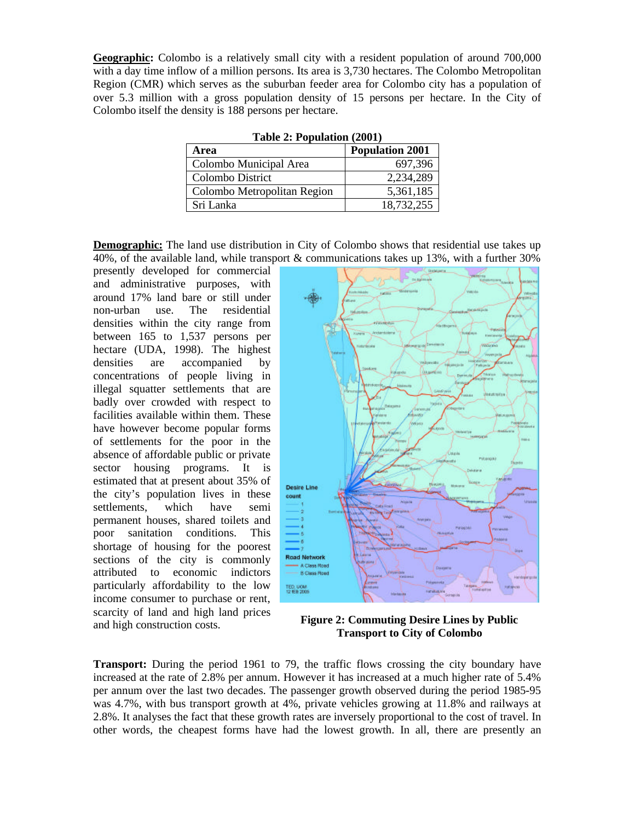**Geographic:** Colombo is a relatively small city with a resident population of around 700,000 with a day time inflow of a million persons. Its area is 3,730 hectares. The Colombo Metropolitan Region (CMR) which serves as the suburban feeder area for Colombo city has a population of over 5.3 million with a gross population density of 15 persons per hectare. In the City of Colombo itself the density is 188 persons per hectare.

| rabic $\mu$ , r optimuoli ( $\mu$ 001) |                        |  |  |  |  |
|----------------------------------------|------------------------|--|--|--|--|
| Area                                   | <b>Population 2001</b> |  |  |  |  |
| Colombo Municipal Area                 | 697,396                |  |  |  |  |
| Colombo District                       | 2,234,289              |  |  |  |  |
| Colombo Metropolitan Region            | 5,361,185              |  |  |  |  |
| Sri Lanka                              | 18,732,255             |  |  |  |  |

**Table 2: Population (2001)**

**Demographic:** The land use distribution in City of Colombo shows that residential use takes up 40%, of the available land, while transport  $\&$  communications takes up 13%, with a further 30%

presently developed for commercial and administrative purposes, with around 17% land bare or still under non-urban use. The residential densities within the city range from between 165 to 1,537 persons per hectare (UDA, 1998). The highest densities are accompanied by concentrations of people living in illegal squatter settlements that are badly over crowded with respect to facilities available within them. These have however become popular forms of settlements for the poor in the absence of affordable public or private sector housing programs. It is estimated that at present about 35% of the city's population lives in these settlements, which have semi permanent houses, shared toilets and poor sanitation conditions. This shortage of housing for the poorest sections of the city is commonly attributed to economic indictors particularly affordability to the low income consumer to purchase or rent, scarcity of land and high land prices and high construction costs.



**Figure 2: Commuting Desire Lines by Public Transport to City of Colombo**

**Transport:** During the period 1961 to 79, the traffic flows crossing the city boundary have increased at the rate of 2.8% per annum. However it has increased at a much higher rate of 5.4% per annum over the last two decades. The passenger growth observed during the period 1985-95 was 4.7%, with bus transport growth at 4%, private vehicles growing at 11.8% and railways at 2.8%. It analyses the fact that these growth rates are inversely proportional to the cost of travel. In other words, the cheapest forms have had the lowest growth. In all, there are presently an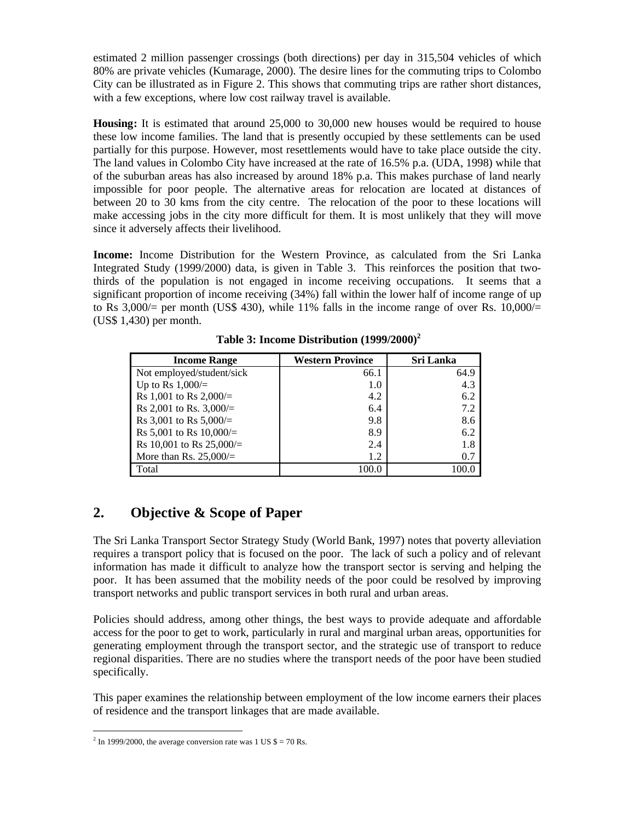estimated 2 million passenger crossings (both directions) per day in 315,504 vehicles of which 80% are private vehicles (Kumarage, 2000). The desire lines for the commuting trips to Colombo City can be illustrated as in Figure 2. This shows that commuting trips are rather short distances, with a few exceptions, where low cost railway travel is available.

**Housing:** It is estimated that around 25,000 to 30,000 new houses would be required to house these low income families. The land that is presently occupied by these settlements can be used partially for this purpose. However, most resettlements would have to take place outside the city. The land values in Colombo City have increased at the rate of 16.5% p.a. (UDA, 1998) while that of the suburban areas has also increased by around 18% p.a. This makes purchase of land nearly impossible for poor people. The alternative areas for relocation are located at distances of between 20 to 30 kms from the city centre. The relocation of the poor to these locations will make accessing jobs in the city more difficult for them. It is most unlikely that they will move since it adversely affects their livelihood.

**Income:** Income Distribution for the Western Province, as calculated from the Sri Lanka Integrated Study (1999/2000) data, is given in Table 3. This reinforces the position that twothirds of the population is not engaged in income receiving occupations. It seems that a significant proportion of income receiving (34%) fall within the lower half of income range of up to Rs  $3,000/=$  per month (US\$ 430), while 11% falls in the income range of over Rs. 10,000/ $=$ (US\$ 1,430) per month.

| <b>Income Range</b>         | <b>Western Province</b> | Sri Lanka |
|-----------------------------|-------------------------|-----------|
| Not employed/student/sick   | 66.1                    | 64.9      |
| Up to Rs $1,000/$ =         | 1.0                     | 4.3       |
| Rs 1,001 to Rs 2,000/=      | 4.2                     | 6.2       |
| Rs 2,001 to Rs. 3,000/=     | 6.4                     | 7.2       |
| Rs 3,001 to Rs $5,000/$ =   | 9.8                     | 8.6       |
| Rs 5,001 to Rs $10,000/$ =  | 8.9                     | 6.2       |
| Rs 10,001 to Rs $25,000/$ = | 2.4                     | 1.8       |
| More than Rs. $25,000/=$    | 1.2                     | 0.7       |
| Total                       | 100.0                   |           |

 **Table 3: Income Distribution (1999/2000)<sup>2</sup>**

# **2. Objective & Scope of Paper**

The Sri Lanka Transport Sector Strategy Study (World Bank, 1997) notes that poverty alleviation requires a transport policy that is focused on the poor. The lack of such a policy and of relevant information has made it difficult to analyze how the transport sector is serving and helping the poor. It has been assumed that the mobility needs of the poor could be resolved by improving transport networks and public transport services in both rural and urban areas.

Policies should address, among other things, the best ways to provide adequate and affordable access for the poor to get to work, particularly in rural and marginal urban areas, opportunities for generating employment through the transport sector, and the strategic use of transport to reduce regional disparities. There are no studies where the transport needs of the poor have been studied specifically.

This paper examines the relationship between employment of the low income earners their places of residence and the transport linkages that are made available.

 $\frac{1}{2}$  In 1999/2000, the average conversion rate was 1 US \$ = 70 Rs.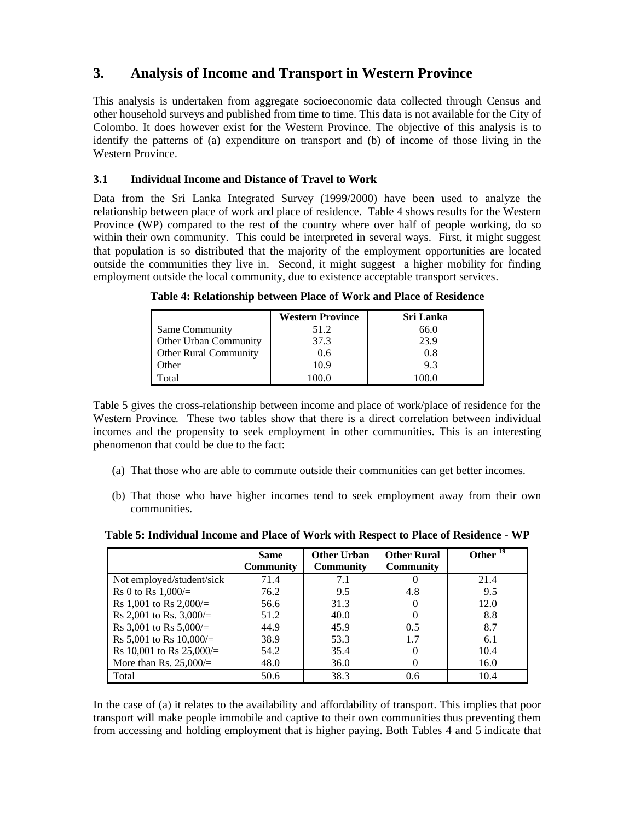# **3. Analysis of Income and Transport in Western Province**

This analysis is undertaken from aggregate socioeconomic data collected through Census and other household surveys and published from time to time. This data is not available for the City of Colombo. It does however exist for the Western Province. The objective of this analysis is to identify the patterns of (a) expenditure on transport and (b) of income of those living in the Western Province.

#### **3.1 Individual Income and Distance of Travel to Work**

Data from the Sri Lanka Integrated Survey (1999/2000) have been used to analyze the relationship between place of work and place of residence. Table 4 shows results for the Western Province (WP) compared to the rest of the country where over half of people working, do so within their own community. This could be interpreted in several ways. First, it might suggest that population is so distributed that the majority of the employment opportunities are located outside the communities they live in. Second, it might suggest a higher mobility for finding employment outside the local community, due to existence acceptable transport services.

|                       | <b>Western Province</b> | <b>Sri Lanka</b> |
|-----------------------|-------------------------|------------------|
| Same Community        | 51.2                    | 66.0             |
| Other Urban Community | 37.3                    | 23.9             |
| Other Rural Community | 0.6                     | 0.8              |
| Other                 | 10.9                    | 93               |
| Total                 | 100 O                   |                  |

**Table 4: Relationship between Place of Work and Place of Residence**

Table 5 gives the cross-relationship between income and place of work/place of residence for the Western Province. These two tables show that there is a direct correlation between individual incomes and the propensity to seek employment in other communities. This is an interesting phenomenon that could be due to the fact:

- (a) That those who are able to commute outside their communities can get better incomes.
- (b) That those who have higher incomes tend to seek employment away from their own communities.

**Table 5: Individual Income and Place of Work with Respect to Place of Residence - WP**

|                            | <b>Same</b>      | <b>Other Urban</b> | <b>Other Rural</b> | Other <sup>19</sup> |
|----------------------------|------------------|--------------------|--------------------|---------------------|
|                            | <b>Community</b> | <b>Community</b>   | <b>Community</b>   |                     |
| Not employed/student/sick  | 71.4             | 7.1                | U                  | 21.4                |
| Rs 0 to Rs $1,000/$ =      | 76.2             | 9.5                | 4.8                | 9.5                 |
| Rs 1,001 to Rs 2,000/=     | 56.6             | 31.3               |                    | 12.0                |
| Rs 2,001 to Rs. $3,000/=$  | 51.2             | 40.0               | $\Omega$           | 8.8                 |
| Rs 3,001 to Rs $5,000/=$   | 44.9             | 45.9               | 0.5                | 8.7                 |
| Rs 5,001 to Rs $10,000/$ = | 38.9             | 53.3               | 1.7                | 6.1                 |
| Rs 10,001 to Rs $25,000/=$ | 54.2             | 35.4               | 0                  | 10.4                |
| More than Rs. $25,000/=$   | 48.0             | 36.0               |                    | 16.0                |
| Total                      | 50.6             | 38.3               | 0.6                | 10.4                |

In the case of (a) it relates to the availability and affordability of transport. This implies that poor transport will make people immobile and captive to their own communities thus preventing them from accessing and holding employment that is higher paying. Both Tables 4 and 5 indicate that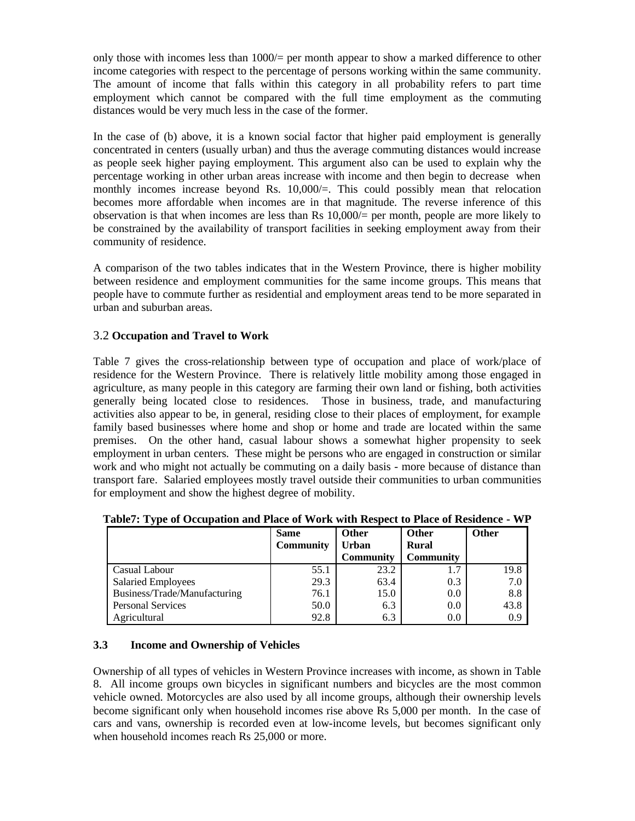only those with incomes less than  $1000/$  per month appear to show a marked difference to other income categories with respect to the percentage of persons working within the same community. The amount of income that falls within this category in all probability refers to part time employment which cannot be compared with the full time employment as the commuting distances would be very much less in the case of the former.

In the case of (b) above, it is a known social factor that higher paid employment is generally concentrated in centers (usually urban) and thus the average commuting distances would increase as people seek higher paying employment. This argument also can be used to explain why the percentage working in other urban areas increase with income and then begin to decrease when monthly incomes increase beyond Rs. 10,000/=. This could possibly mean that relocation becomes more affordable when incomes are in that magnitude. The reverse inference of this observation is that when incomes are less than Rs  $10,000/$  per month, people are more likely to be constrained by the availability of transport facilities in seeking employment away from their community of residence.

A comparison of the two tables indicates that in the Western Province, there is higher mobility between residence and employment communities for the same income groups. This means that people have to commute further as residential and employment areas tend to be more separated in urban and suburban areas.

#### 3.2 **Occupation and Travel to Work**

Table 7 gives the cross-relationship between type of occupation and place of work/place of residence for the Western Province. There is relatively little mobility among those engaged in agriculture, as many people in this category are farming their own land or fishing, both activities generally being located close to residences. Those in business, trade, and manufacturing activities also appear to be, in general, residing close to their places of employment, for example family based businesses where home and shop or home and trade are located within the same premises. On the other hand, casual labour shows a somewhat higher propensity to seek employment in urban centers. These might be persons who are engaged in construction or similar work and who might not actually be commuting on a daily basis - more because of distance than transport fare. Salaried employees mostly travel outside their communities to urban communities for employment and show the highest degree of mobility.

|                              | <b>Same</b><br><b>Community</b> | <b>Other</b><br><b>Urban</b><br><b>Community</b> | <b>Other</b><br><b>Rural</b><br><b>Community</b> | Other |
|------------------------------|---------------------------------|--------------------------------------------------|--------------------------------------------------|-------|
| Casual Labour                | 55.1                            | 23.2                                             | 1.7                                              | 19.8  |
| <b>Salaried Employees</b>    | 29.3                            | 63.4                                             | 0.3                                              | 7.0   |
| Business/Trade/Manufacturing | 76.1                            | 15.0                                             | 0.0                                              | 8.8   |
| <b>Personal Services</b>     | 50.0                            | 6.3                                              | 0.0                                              | 43.8  |
| Agricultural                 | 92.8                            | 6.3                                              | 0.0                                              | 0.9   |

#### **3.3 Income and Ownership of Vehicles**

Ownership of all types of vehicles in Western Province increases with income, as shown in Table 8. All income groups own bicycles in significant numbers and bicycles are the most common vehicle owned. Motorcycles are also used by all income groups, although their ownership levels become significant only when household incomes rise above Rs 5,000 per month. In the case of cars and vans, ownership is recorded even at low-income levels, but becomes significant only when household incomes reach Rs 25,000 or more.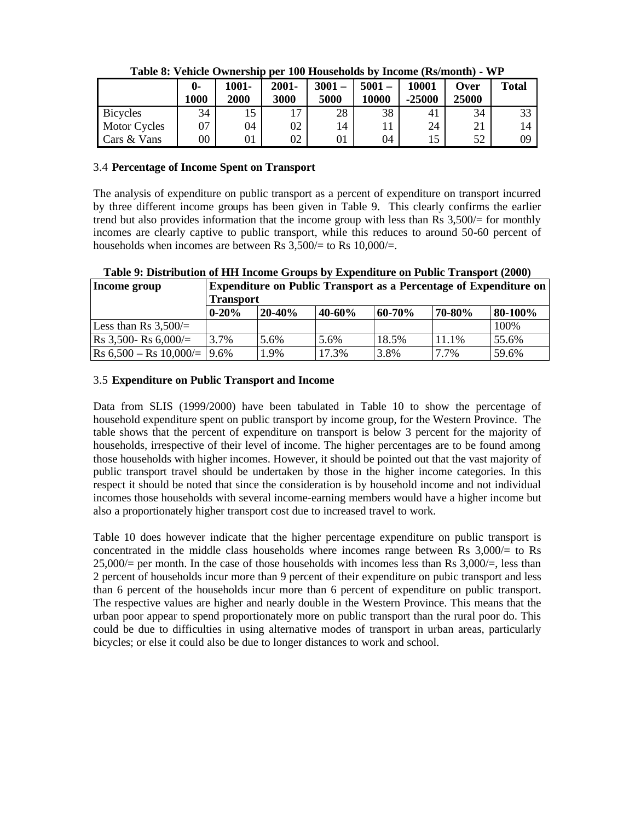|                     | 0-<br>1000      | $1001 -$<br>2000 | $2001 -$<br>3000 | $3001 -$<br>5000 | $5001 -$<br>10000 | 10001<br>$-25000$ | Over<br>25000 | <b>Total</b> |
|---------------------|-----------------|------------------|------------------|------------------|-------------------|-------------------|---------------|--------------|
| <b>Bicycles</b>     | 34              | 15               | 17               | 28               | 38                | 41                | 34            | 33           |
| <b>Motor Cycles</b> | 07              | 04               | 02               | 14               | 11                | 24                | ∠⊥            | 14           |
| Cars & Vans         | $\overline{00}$ | 01               | 02               | 01               | 04                |                   | 52            | 09           |

**Table 8: Vehicle Ownership per 100 Households by Income (Rs/month) - WP**

#### 3.4 **Percentage of Income Spent on Transport**

The analysis of expenditure on public transport as a percent of expenditure on transport incurred by three different income groups has been given in Table 9. This clearly confirms the earlier trend but also provides information that the income group with less than Rs 3,500/= for monthly incomes are clearly captive to public transport, while this reduces to around 50-60 percent of households when incomes are between Rs  $3,500/=$  to Rs  $10,000/=$ .

**Table 9: Distribution of HH Income Groups by Expenditure on Public Transport (2000)**

| Income group                                     | <b>Expenditure on Public Transport as a Percentage of Expenditure on</b><br><b>Transport</b> |        |        |        |        |         |  |  |
|--------------------------------------------------|----------------------------------------------------------------------------------------------|--------|--------|--------|--------|---------|--|--|
|                                                  | $0 - 20%$                                                                                    | 20-40% | 40-60% | 60-70% | 70-80% | 80-100% |  |  |
| Less than Rs $3,500/=$                           |                                                                                              |        |        |        |        | 100%    |  |  |
| $\text{Rs } 3,500 - \text{Rs } 6,000 =$          | 3.7%                                                                                         | 5.6%   | 5.6%   | 18.5%  | 11.1%  | 55.6%   |  |  |
| $\text{Rs } 6,500 - \text{Rs } 10,000 =  9.6\% $ |                                                                                              | 1.9%   | 17.3%  | 3.8%   | 7.7%   | 59.6%   |  |  |

#### 3.5 **Expenditure on Public Transport and Income**

Data from SLIS (1999/2000) have been tabulated in Table 10 to show the percentage of household expenditure spent on public transport by income group, for the Western Province. The table shows that the percent of expenditure on transport is below 3 percent for the majority of households, irrespective of their level of income. The higher percentages are to be found among those households with higher incomes. However, it should be pointed out that the vast majority of public transport travel should be undertaken by those in the higher income categories. In this respect it should be noted that since the consideration is by household income and not individual incomes those households with several income-earning members would have a higher income but also a proportionately higher transport cost due to increased travel to work.

Table 10 does however indicate that the higher percentage expenditure on public transport is concentrated in the middle class households where incomes range between Rs  $3,000/=$  to Rs  $25,000/$  per month. In the case of those households with incomes less than Rs  $3,000/$  =, less than 2 percent of households incur more than 9 percent of their expenditure on pubic transport and less than 6 percent of the households incur more than 6 percent of expenditure on public transport. The respective values are higher and nearly double in the Western Province. This means that the urban poor appear to spend proportionately more on public transport than the rural poor do. This could be due to difficulties in using alternative modes of transport in urban areas, particularly bicycles; or else it could also be due to longer distances to work and school.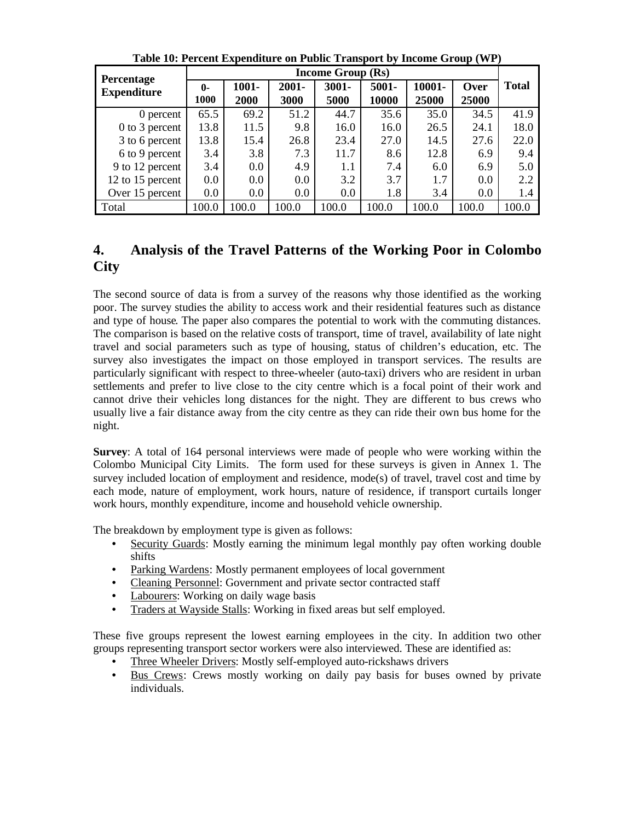| Percentage         | <b>Income Group (Rs)</b> |          |          |          |       |        |       |              |
|--------------------|--------------------------|----------|----------|----------|-------|--------|-------|--------------|
| <b>Expenditure</b> | $\mathbf{0}$             | $1001 -$ | $2001 -$ | $3001 -$ | 5001- | 10001- | Over  | <b>Total</b> |
|                    | 1000                     | 2000     | 3000     | 5000     | 10000 | 25000  | 25000 |              |
| 0 percent          | 65.5                     | 69.2     | 51.2     | 44.7     | 35.6  | 35.0   | 34.5  | 41.9         |
| $0$ to 3 percent   | 13.8                     | 11.5     | 9.8      | 16.0     | 16.0  | 26.5   | 24.1  | 18.0         |
| 3 to 6 percent     | 13.8                     | 15.4     | 26.8     | 23.4     | 27.0  | 14.5   | 27.6  | 22.0         |
| 6 to 9 percent     | 3.4                      | 3.8      | 7.3      | 11.7     | 8.6   | 12.8   | 6.9   | 9.4          |
| 9 to 12 percent    | 3.4                      | $0.0\,$  | 4.9      | 1.1      | 7.4   | 6.0    | 6.9   | 5.0          |
| 12 to 15 percent   | 0.0                      | 0.0      | 0.0      | 3.2      | 3.7   | 1.7    | 0.0   | 2.2          |
| Over 15 percent    | 0.0                      | 0.0      | 0.0      | $0.0\,$  | 1.8   | 3.4    | 0.0   | 1.4          |
| Total              | 100.0                    | 100.0    | 100.0    | 100.0    | 100.0 | 100.0  | 100.0 | 100.0        |

**Table 10: Percent Expenditure on Public Transport by Income Group (WP)**

## **4. Analysis of the Travel Patterns of the Working Poor in Colombo City**

The second source of data is from a survey of the reasons why those identified as the working poor. The survey studies the ability to access work and their residential features such as distance and type of house. The paper also compares the potential to work with the commuting distances. The comparison is based on the relative costs of transport, time of travel, availability of late night travel and social parameters such as type of housing, status of children's education, etc. The survey also investigates the impact on those employed in transport services. The results are particularly significant with respect to three-wheeler (auto-taxi) drivers who are resident in urban settlements and prefer to live close to the city centre which is a focal point of their work and cannot drive their vehicles long distances for the night. They are different to bus crews who usually live a fair distance away from the city centre as they can ride their own bus home for the night.

**Survey**: A total of 164 personal interviews were made of people who were working within the Colombo Municipal City Limits. The form used for these surveys is given in Annex 1. The survey included location of employment and residence, mode(s) of travel, travel cost and time by each mode, nature of employment, work hours, nature of residence, if transport curtails longer work hours, monthly expenditure, income and household vehicle ownership.

The breakdown by employment type is given as follows:

- Security Guards: Mostly earning the minimum legal monthly pay often working double shifts
- Parking Wardens: Mostly permanent employees of local government
- Cleaning Personnel: Government and private sector contracted staff
- Labourers: Working on daily wage basis
- Traders at Wayside Stalls: Working in fixed areas but self employed.

These five groups represent the lowest earning employees in the city. In addition two other groups representing transport sector workers were also interviewed. These are identified as:

- Three Wheeler Drivers: Mostly self-employed auto-rickshaws drivers
- Bus Crews: Crews mostly working on daily pay basis for buses owned by private individuals.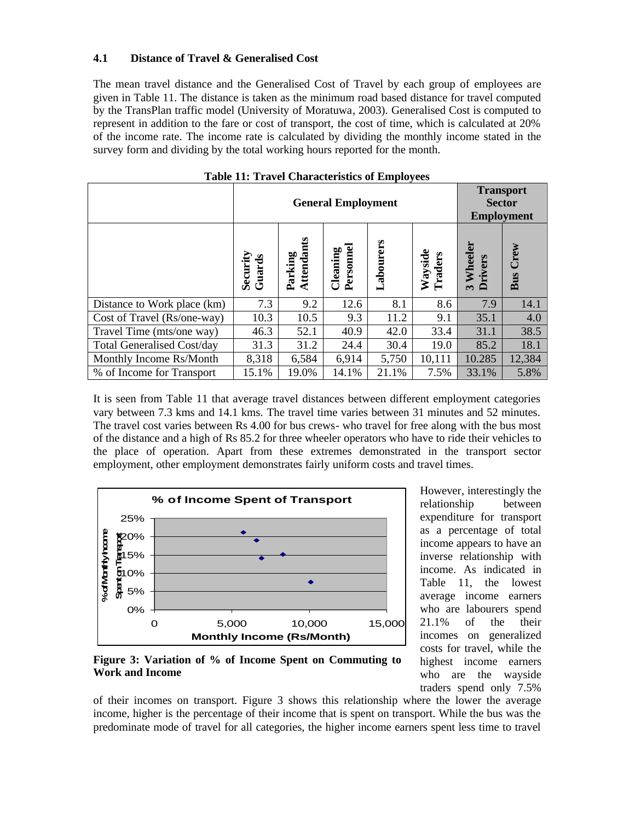#### **4.1 Distance of Travel & Generalised Cost**

The mean travel distance and the Generalised Cost of Travel by each group of employees are given in Table 11. The distance is taken as the minimum road based distance for travel computed by the TransPlan traffic model (University of Moratuwa, 2003). Generalised Cost is computed to represent in addition to the fare or cost of transport, the cost of time, which is calculated at 20% of the income rate. The income rate is calculated by dividing the monthly income stated in the survey form and dividing by the total working hours reported for the month.

|                                   |                   | <b>General Employment</b> | <b>Transport</b><br><b>Sector</b><br><b>Employment</b> |           |                    |                                     |             |
|-----------------------------------|-------------------|---------------------------|--------------------------------------------------------|-----------|--------------------|-------------------------------------|-------------|
|                                   | Guards<br>Securit | Attendants<br>Parking     | Personnel<br>Cleaning                                  | Labourers | Wayside<br>Traders | Wheeler<br>hivers<br>$\overline{a}$ | Crew<br>Bus |
| Distance to Work place (km)       | 7.3               | 9.2                       | 12.6                                                   | 8.1       | 8.6                | 7.9                                 | 14.1        |
| Cost of Travel (Rs/one-way)       | 10.3              | 10.5                      | 9.3                                                    | 11.2      | 9.1                | 35.1                                | 4.0         |
| Travel Time (mts/one way)         | 46.3              | 52.1                      | 40.9                                                   | 42.0      | 33.4               | 31.1                                | 38.5        |
| <b>Total Generalised Cost/day</b> | 31.3              | 31.2                      | 24.4                                                   | 30.4      | 19.0               | 85.2                                | 18.1        |
| Monthly Income Rs/Month           | 8,318             | 6,584                     | 6,914                                                  | 5,750     | 10,111             | 10.285                              | 12,384      |
| % of Income for Transport         | 15.1%             | 19.0%                     | 14.1%                                                  | 21.1%     | 7.5%               | 33.1%                               | 5.8%        |

| <b>Table 11: Travel Characteristics of Employees</b> |  |  |  |
|------------------------------------------------------|--|--|--|
|------------------------------------------------------|--|--|--|

It is seen from Table 11 that average travel distances between different employment categories vary between 7.3 kms and 14.1 kms. The travel time varies between 31 minutes and 52 minutes. The travel cost varies between Rs 4.00 for bus crews- who travel for free along with the bus most of the distance and a high of Rs 85.2 for three wheeler operators who have to ride their vehicles to the place of operation. Apart from these extremes demonstrated in the transport sector employment, other employment demonstrates fairly uniform costs and travel times.



However, interestingly the relationship between expenditure for transport as a percentage of total income appears to have an inverse relationship with income. As indicated in Table 11, the lowest average income earners who are labourers spend 21.1% of the their incomes on generalized costs for travel, while the highest income earners who are the wayside traders spend only 7.5%

**Figure 3: Variation of % of Income Spent on Commuting to Work and Income**

of their incomes on transport. Figure 3 shows this relationship where the lower the average income, higher is the percentage of their income that is spent on transport. While the bus was the predominate mode of travel for all categories, the higher income earners spent less time to travel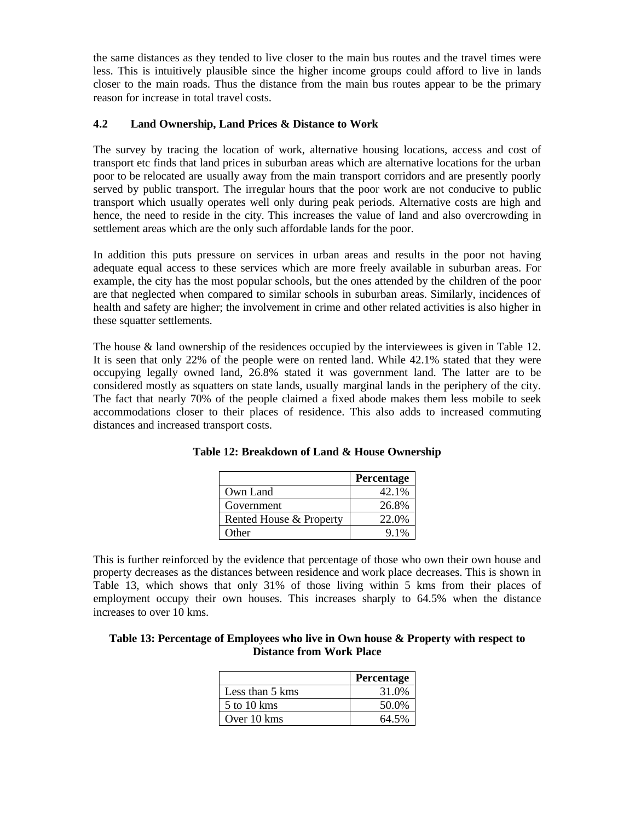the same distances as they tended to live closer to the main bus routes and the travel times were less. This is intuitively plausible since the higher income groups could afford to live in lands closer to the main roads. Thus the distance from the main bus routes appear to be the primary reason for increase in total travel costs.

#### **4.2 Land Ownership, Land Prices & Distance to Work**

The survey by tracing the location of work, alternative housing locations, access and cost of transport etc finds that land prices in suburban areas which are alternative locations for the urban poor to be relocated are usually away from the main transport corridors and are presently poorly served by public transport. The irregular hours that the poor work are not conducive to public transport which usually operates well only during peak periods. Alternative costs are high and hence, the need to reside in the city. This increases the value of land and also overcrowding in settlement areas which are the only such affordable lands for the poor.

In addition this puts pressure on services in urban areas and results in the poor not having adequate equal access to these services which are more freely available in suburban areas. For example, the city has the most popular schools, but the ones attended by the children of the poor are that neglected when compared to similar schools in suburban areas. Similarly, incidences of health and safety are higher; the involvement in crime and other related activities is also higher in these squatter settlements.

The house & land ownership of the residences occupied by the interviewees is given in Table 12. It is seen that only 22% of the people were on rented land. While 42.1% stated that they were occupying legally owned land, 26.8% stated it was government land. The latter are to be considered mostly as squatters on state lands, usually marginal lands in the periphery of the city. The fact that nearly 70% of the people claimed a fixed abode makes them less mobile to seek accommodations closer to their places of residence. This also adds to increased commuting distances and increased transport costs.

|                         | Percentage |
|-------------------------|------------|
| Own Land                | 42.1%      |
| Government              | 26.8%      |
| Rented House & Property | 22.0%      |
| Other                   | $91\%$     |

**Table 12: Breakdown of Land & House Ownership**

This is further reinforced by the evidence that percentage of those who own their own house and property decreases as the distances between residence and work place decreases. This is shown in Table 13, which shows that only 31% of those living within 5 kms from their places of employment occupy their own houses. This increases sharply to 64.5% when the distance increases to over 10 kms.

| Table 13: Percentage of Employees who live in Own house $\&$ Property with respect to |
|---------------------------------------------------------------------------------------|
| <b>Distance from Work Place</b>                                                       |

|                 | Percentage |
|-----------------|------------|
| Less than 5 kms | 31.0%      |
| 5 to 10 kms     | 50.0%      |
| Over 10 kms     | 64.5%      |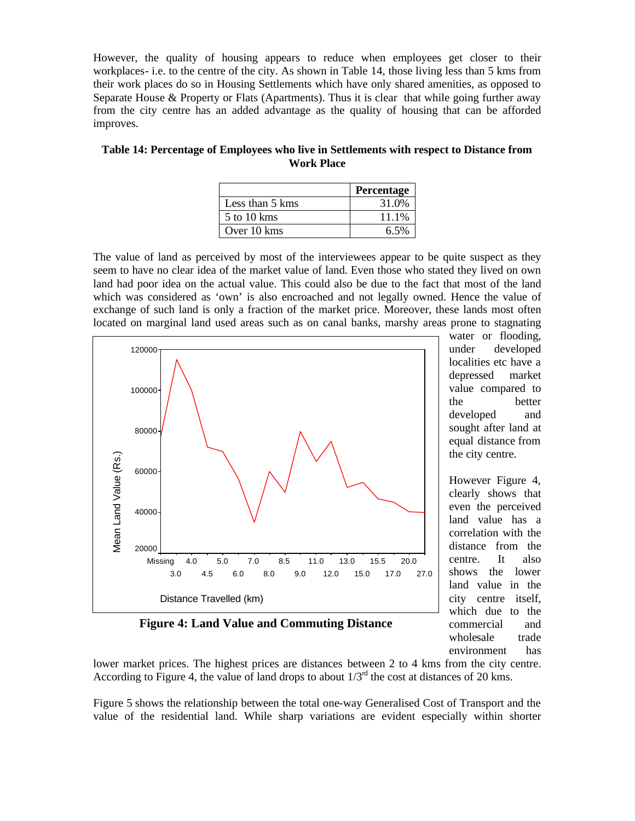However, the quality of housing appears to reduce when employees get closer to their workplaces- i.e. to the centre of the city. As shown in Table 14, those living less than 5 kms from their work places do so in Housing Settlements which have only shared amenities, as opposed to Separate House & Property or Flats (Apartments). Thus it is clear that while going further away from the city centre has an added advantage as the quality of housing that can be afforded improves.

**Table 14: Percentage of Employees who live in Settlements with respect to Distance from Work Place**

|                 | Percentage |
|-----------------|------------|
| Less than 5 kms | 31.0%      |
| $5$ to 10 kms   | 11.1%      |
| Over 10 kms     | 6.5%       |

The value of land as perceived by most of the interviewees appear to be quite suspect as they seem to have no clear idea of the market value of land. Even those who stated they lived on own land had poor idea on the actual value. This could also be due to the fact that most of the land which was considered as 'own' is also encroached and not legally owned. Hence the value of exchange of such land is only a fraction of the market price. Moreover, these lands most often located on marginal land used areas such as on canal banks, marshy areas prone to stagnating



water or flooding, under developed localities etc have a depressed market value compared to the better developed and sought after land at equal distance from the city centre.

However Figure 4, clearly shows that even the perceived land value has a correlation with the distance from the centre. It also shows the lower land value in the city centre itself, which due to the commercial and wholesale trade environment has

**Figure 4: Land Value and Commuting Distance**

lower market prices. The highest prices are distances between 2 to 4 kms from the city centre. According to Figure 4, the value of land drops to about  $1/3<sup>rd</sup>$  the cost at distances of 20 kms.

Figure 5 shows the relationship between the total one-way Generalised Cost of Transport and the value of the residential land. While sharp variations are evident especially within shorter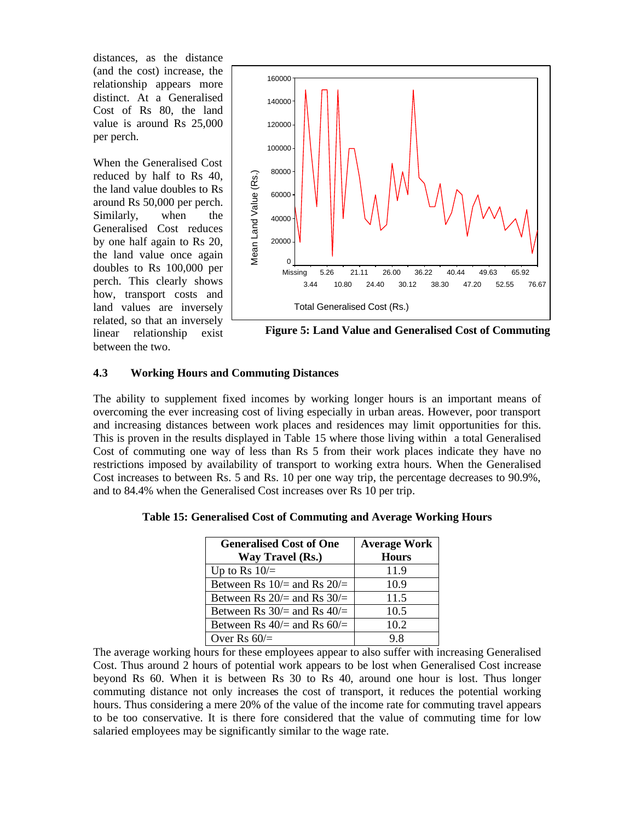distances, as the distance (and the cost) increase, the relationship appears more distinct. At a Generalised Cost of Rs 80, the land value is around Rs 25,000 per perch.

When the Generalised Cost reduced by half to Rs 40, the land value doubles to Rs around Rs 50,000 per perch. Similarly, when the Generalised Cost reduces by one half again to Rs 20, the land value once again doubles to Rs 100,000 per perch. This clearly shows how, transport costs and land values are inversely related, so that an inversely linear relationship exist between the two.



**Figure 5: Land Value and Generalised Cost of Commuting**

#### **4.3 Working Hours and Commuting Distances**

The ability to supplement fixed incomes by working longer hours is an important means of overcoming the ever increasing cost of living especially in urban areas. However, poor transport and increasing distances between work places and residences may limit opportunities for this. This is proven in the results displayed in Table 15 where those living within a total Generalised Cost of commuting one way of less than Rs 5 from their work places indicate they have no restrictions imposed by availability of transport to working extra hours. When the Generalised Cost increases to between Rs. 5 and Rs. 10 per one way trip, the percentage decreases to 90.9%, and to 84.4% when the Generalised Cost increases over Rs 10 per trip.

| <b>Generalised Cost of One</b><br>Way Travel (Rs.) | <b>Average Work</b><br><b>Hours</b> |
|----------------------------------------------------|-------------------------------------|
| Up to Rs $10/$ =                                   | 11.9                                |
| Between Rs $10/$ and Rs $20/$                      | 10.9                                |
| Between Rs $20/$ and Rs $30/$                      | 11.5                                |
| Between Rs $30/$ = and Rs $40/$ =                  | 10.5                                |
| Between Rs $40/$ = and Rs $60/$ =                  | 10.2                                |
| Over Rs $60/$ =                                    | 98                                  |

**Table 15: Generalised Cost of Commuting and Average Working Hours**

The average working hours for these employees appear to also suffer with increasing Generalised Cost. Thus around 2 hours of potential work appears to be lost when Generalised Cost increase beyond Rs 60. When it is between Rs 30 to Rs 40, around one hour is lost. Thus longer commuting distance not only increases the cost of transport, it reduces the potential working hours. Thus considering a mere 20% of the value of the income rate for commuting travel appears to be too conservative. It is there fore considered that the value of commuting time for low salaried employees may be significantly similar to the wage rate.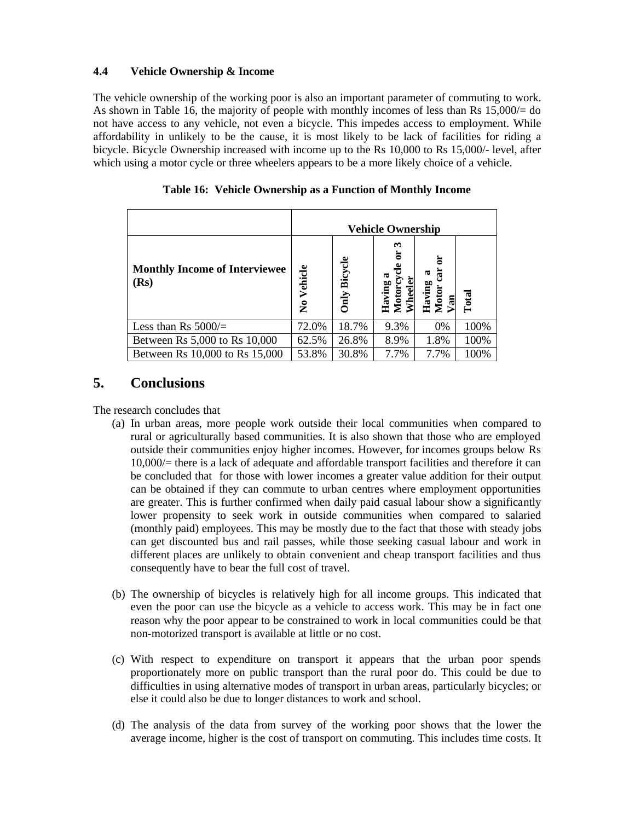#### **4.4 Vehicle Ownership & Income**

The vehicle ownership of the working poor is also an important parameter of commuting to work. As shown in Table 16, the majority of people with monthly incomes of less than Rs 15,000/= do not have access to any vehicle, not even a bicycle. This impedes access to employment. While affordability in unlikely to be the cause, it is most likely to be lack of facilities for riding a bicycle. Bicycle Ownership increased with income up to the Rs 10,000 to Rs 15,000/- level, after which using a motor cycle or three wheelers appears to be a more likely choice of a vehicle.

|                                              | <b>Vehicle Ownership</b>        |                 |                                                 |                          |       |
|----------------------------------------------|---------------------------------|-----------------|-------------------------------------------------|--------------------------|-------|
| <b>Monthly Income of Interviewee</b><br>(Rs) | Vehicle<br>$\tilde{\mathbf{z}}$ | Bicycle<br>Only | ణ<br>ಡ<br>Having<br>Motor <sup>'</sup><br>Wheel | Having<br>Motor c<br>Van | Total |
| Less than Rs $5000/$ =                       | 72.0%                           | 18.7%           | 9.3%                                            | 0%                       | 100%  |
| Between Rs 5,000 to Rs 10,000                | 62.5%                           | 26.8%           | 8.9%                                            | 1.8%                     | 100%  |
| Between Rs 10,000 to Rs 15,000               | 53.8%                           | 30.8%           | 7.7%                                            | 7.7%                     | 100%  |

|  |  |  | Table 16: Vehicle Ownership as a Function of Monthly Income |  |  |
|--|--|--|-------------------------------------------------------------|--|--|
|--|--|--|-------------------------------------------------------------|--|--|

### **5. Conclusions**

The research concludes that

- (a) In urban areas, more people work outside their local communities when compared to rural or agriculturally based communities. It is also shown that those who are employed outside their communities enjoy higher incomes. However, for incomes groups below Rs 10,000/= there is a lack of adequate and affordable transport facilities and therefore it can be concluded that for those with lower incomes a greater value addition for their output can be obtained if they can commute to urban centres where employment opportunities are greater. This is further confirmed when daily paid casual labour show a significantly lower propensity to seek work in outside communities when compared to salaried (monthly paid) employees. This may be mostly due to the fact that those with steady jobs can get discounted bus and rail passes, while those seeking casual labour and work in different places are unlikely to obtain convenient and cheap transport facilities and thus consequently have to bear the full cost of travel.
- (b) The ownership of bicycles is relatively high for all income groups. This indicated that even the poor can use the bicycle as a vehicle to access work. This may be in fact one reason why the poor appear to be constrained to work in local communities could be that non-motorized transport is available at little or no cost.
- (c) With respect to expenditure on transport it appears that the urban poor spends proportionately more on public transport than the rural poor do. This could be due to difficulties in using alternative modes of transport in urban areas, particularly bicycles; or else it could also be due to longer distances to work and school.
- (d) The analysis of the data from survey of the working poor shows that the lower the average income, higher is the cost of transport on commuting. This includes time costs. It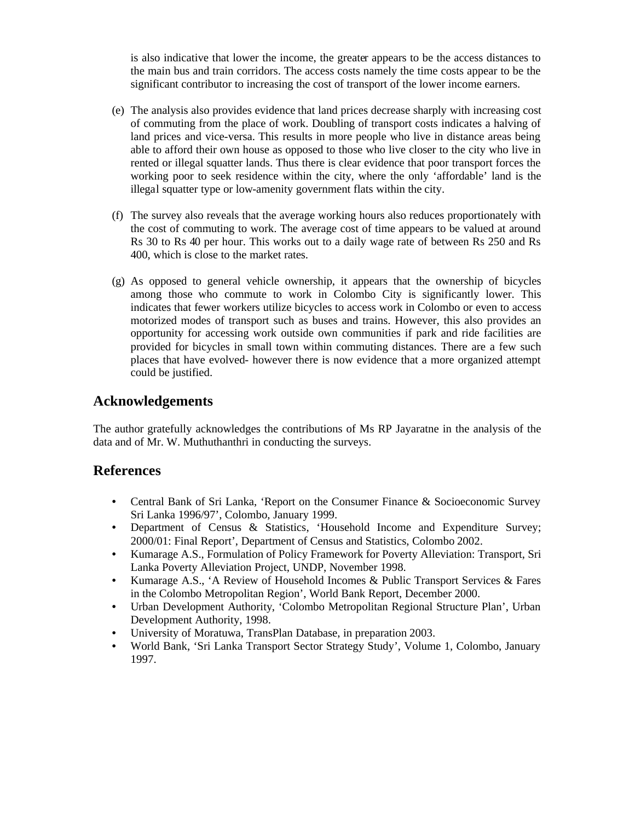is also indicative that lower the income, the greater appears to be the access distances to the main bus and train corridors. The access costs namely the time costs appear to be the significant contributor to increasing the cost of transport of the lower income earners.

- (e) The analysis also provides evidence that land prices decrease sharply with increasing cost of commuting from the place of work. Doubling of transport costs indicates a halving of land prices and vice-versa. This results in more people who live in distance areas being able to afford their own house as opposed to those who live closer to the city who live in rented or illegal squatter lands. Thus there is clear evidence that poor transport forces the working poor to seek residence within the city, where the only 'affordable' land is the illegal squatter type or low-amenity government flats within the city.
- (f) The survey also reveals that the average working hours also reduces proportionately with the cost of commuting to work. The average cost of time appears to be valued at around Rs 30 to Rs 40 per hour. This works out to a daily wage rate of between Rs 250 and Rs 400, which is close to the market rates.
- (g) As opposed to general vehicle ownership, it appears that the ownership of bicycles among those who commute to work in Colombo City is significantly lower. This indicates that fewer workers utilize bicycles to access work in Colombo or even to access motorized modes of transport such as buses and trains. However, this also provides an opportunity for accessing work outside own communities if park and ride facilities are provided for bicycles in small town within commuting distances. There are a few such places that have evolved- however there is now evidence that a more organized attempt could be justified.

### **Acknowledgements**

The author gratefully acknowledges the contributions of Ms RP Jayaratne in the analysis of the data and of Mr. W. Muthuthanthri in conducting the surveys.

### **References**

- Central Bank of Sri Lanka, 'Report on the Consumer Finance & Socioeconomic Survey Sri Lanka 1996/97', Colombo, January 1999.
- Department of Census & Statistics, 'Household Income and Expenditure Survey; 2000/01: Final Report', Department of Census and Statistics, Colombo 2002.
- Kumarage A.S., Formulation of Policy Framework for Poverty Alleviation: Transport, Sri Lanka Poverty Alleviation Project, UNDP, November 1998.
- Kumarage A.S., 'A Review of Household Incomes & Public Transport Services & Fares in the Colombo Metropolitan Region', World Bank Report, December 2000.
- Urban Development Authority, 'Colombo Metropolitan Regional Structure Plan', Urban Development Authority, 1998.
- University of Moratuwa, TransPlan Database, in preparation 2003.
- World Bank, 'Sri Lanka Transport Sector Strategy Study', Volume 1, Colombo, January 1997.